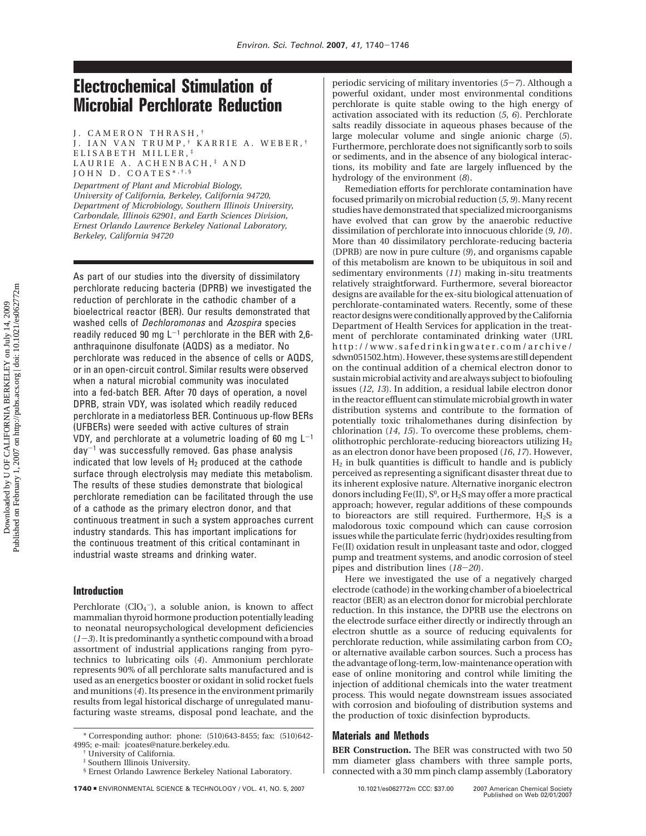# **Electrochemical Stimulation of Microbial Perchlorate Reduction**

J. CAMERON THRASH, †

J. IAN VAN TRUMP, † KARRIE A. WEBER, † ELISABETH MILLER, ‡ LAURIE A. ACHENBACH, ‡ AND JOHN D. COATES\*, †, \$

*Department of Plant and Microbial Biology, University of California, Berkeley, California 94720, Department of Microbiology, Southern Illinois University, Carbondale, Illinois 62901, and Earth Sciences Division, Ernest Orlando Lawrence Berkeley National Laboratory, Berkeley, California 94720*

As part of our studies into the diversity of dissimilatory perchlorate reducing bacteria (DPRB) we investigated the reduction of perchlorate in the cathodic chamber of a bioelectrical reactor (BER). Our results demonstrated that washed cells of Dechloromonas and Azospira species readily reduced 90 mg  $L^{-1}$  perchlorate in the BER with 2,6anthraquinone disulfonate (AQDS) as a mediator. No perchlorate was reduced in the absence of cells or AQDS, or in an open-circuit control. Similar results were observed when a natural microbial community was inoculated into a fed-batch BER. After 70 days of operation, a novel DPRB, strain VDY, was isolated which readily reduced perchlorate in a mediatorless BER. Continuous up-flow BERs (UFBERs) were seeded with active cultures of strain VDY, and perchlorate at a volumetric loading of 60 mg  $L^{-1}$  $day^{-1}$  was successfully removed. Gas phase analysis indicated that low levels of  $H_2$  produced at the cathode surface through electrolysis may mediate this metabolism. The results of these studies demonstrate that biological perchlorate remediation can be facilitated through the use of a cathode as the primary electron donor, and that continuous treatment in such a system approaches current industry standards. This has important implications for the continuous treatment of this critical contaminant in industrial waste streams and drinking water.

## **Introduction**

Perchlorate  $(CIO_4^-)$ , a soluble anion, is known to affect mammalian thyroid hormone production potentially leading to neonatal neuropsychological development deficiencies  $(1-3)$ . It is predominantly a synthetic compound with a broad assortment of industrial applications ranging from pyrotechnics to lubricating oils (*4*). Ammonium perchlorate represents 90% of all perchlorate salts manufactured and is used as an energetics booster or oxidant in solid rocket fuels and munitions (*4*). Its presence in the environment primarily results from legal historical discharge of unregulated manufacturing waste streams, disposal pond leachate, and the periodic servicing of military inventories (*5*-*7*). Although a powerful oxidant, under most environmental conditions perchlorate is quite stable owing to the high energy of activation associated with its reduction (*5*, *6*). Perchlorate salts readily dissociate in aqueous phases because of the large molecular volume and single anionic charge (*5*). Furthermore, perchlorate does not significantly sorb to soils or sediments, and in the absence of any biological interactions, its mobility and fate are largely influenced by the hydrology of the environment (*8*).

Remediation efforts for perchlorate contamination have focused primarily on microbial reduction (*5*, *9*). Many recent studies have demonstrated that specialized microorganisms have evolved that can grow by the anaerobic reductive dissimilation of perchlorate into innocuous chloride (*9*, *10*). More than 40 dissimilatory perchlorate-reducing bacteria (DPRB) are now in pure culture (*9*), and organisms capable of this metabolism are known to be ubiquitous in soil and sedimentary environments (*11*) making in-situ treatments relatively straightforward. Furthermore, several bioreactor designs are available for the ex-situ biological attenuation of perchlorate-contaminated waters. Recently, some of these reactor designs were conditionally approved by the California Department of Health Services for application in the treatment of perchlorate contaminated drinking water (URL http://www.safedrinkingwater.com/archive/ sdwn051502.htm). However, these systems are still dependent on the continual addition of a chemical electron donor to sustain microbial activity and are always subject to biofouling issues (*12*, *13*). In addition, a residual labile electron donor in the reactor effluent can stimulate microbial growth in water distribution systems and contribute to the formation of potentially toxic trihalomethanes during disinfection by chlorination (*14*, *15*). To overcome these problems, chemolithotrophic perchlorate-reducing bioreactors utilizing  $H_2$ as an electron donor have been proposed (*16*, *17*). However, H2 in bulk quantities is difficult to handle and is publicly perceived as representing a significant disaster threat due to its inherent explosive nature. Alternative inorganic electron donors including Fe(II),  $S^0$ , or  $H_2S$  may offer a more practical approach; however, regular additions of these compounds to bioreactors are still required. Furthermore,  $H_2S$  is a malodorous toxic compound which can cause corrosion issues while the particulate ferric (hydr)oxides resulting from Fe(II) oxidation result in unpleasant taste and odor, clogged pump and treatment systems, and anodic corrosion of steel pipes and distribution lines (*18*-*20*).

Here we investigated the use of a negatively charged electrode (cathode) in the working chamber of a bioelectrical reactor (BER) as an electron donor for microbial perchlorate reduction. In this instance, the DPRB use the electrons on the electrode surface either directly or indirectly through an electron shuttle as a source of reducing equivalents for perchlorate reduction, while assimilating carbon from  $CO<sub>2</sub>$ or alternative available carbon sources. Such a process has the advantage of long-term, low-maintenance operation with ease of online monitoring and control while limiting the injection of additional chemicals into the water treatment process. This would negate downstream issues associated with corrosion and biofouling of distribution systems and the production of toxic disinfection byproducts.

# **Materials and Methods**

**BER Construction.** The BER was constructed with two 50 mm diameter glass chambers with three sample ports, connected with a 30 mm pinch clamp assembly (Laboratory

<sup>\*</sup> Corresponding author: phone: (510)643-8455; fax: (510)642- 4995; e-mail: jcoates@nature.berkeley.edu.

<sup>†</sup> University of California.

<sup>‡</sup> Southern Illinois University.

<sup>§</sup> Ernest Orlando Lawrence Berkeley National Laboratory.

**<sup>1740</sup> ENVIRONMENTAL SCIENCE & TECHNOLOGY / VOL. 41, NO. 5, 2007 10.1021/es062772m CCC: \$37.00**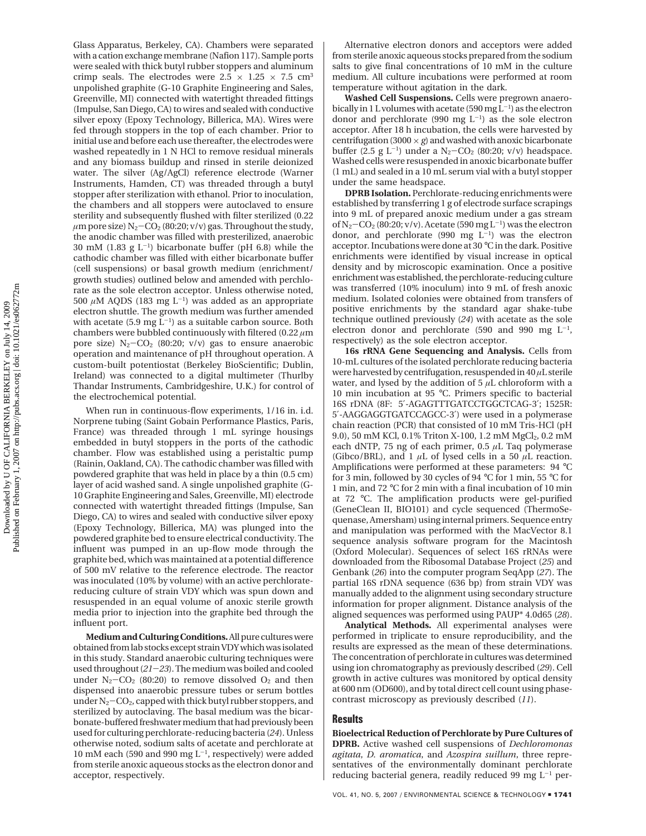Glass Apparatus, Berkeley, CA). Chambers were separated with a cation exchange membrane (Nafion 117). Sample ports were sealed with thick butyl rubber stoppers and aluminum crimp seals. The electrodes were  $2.5 \times 1.25 \times 7.5$  cm<sup>3</sup> unpolished graphite (G-10 Graphite Engineering and Sales, Greenville, MI) connected with watertight threaded fittings (Impulse, San Diego, CA) to wires and sealed with conductive silver epoxy (Epoxy Technology, Billerica, MA). Wires were fed through stoppers in the top of each chamber. Prior to initial use and before each use thereafter, the electrodes were washed repeatedly in 1 N HCl to remove residual minerals and any biomass buildup and rinsed in sterile deionized water. The silver (Ag/AgCl) reference electrode (Warner Instruments, Hamden, CT) was threaded through a butyl stopper after sterilization with ethanol. Prior to inoculation, the chambers and all stoppers were autoclaved to ensure sterility and subsequently flushed with filter sterilized (0.22  $\mu$ m pore size) N<sub>2</sub>-CO<sub>2</sub> (80:20; v/v) gas. Throughout the study, the anodic chamber was filled with presterilized, anaerobic 30 mM (1.83 g  $L^{-1}$ ) bicarbonate buffer (pH 6.8) while the cathodic chamber was filled with either bicarbonate buffer (cell suspensions) or basal growth medium (enrichment/ growth studies) outlined below and amended with perchlorate as the sole electron acceptor. Unless otherwise noted, 500  $\mu$ M AQDS (183 mg L<sup>-1</sup>) was added as an appropriate electron shuttle. The growth medium was further amended with acetate (5.9 mg  $\mathbf{L}^{-1}$ ) as a suitable carbon source. Both chambers were bubbled continuously with filtered (0.22 *µ*m pore size)  $N_2$ -CO<sub>2</sub> (80:20; v/v) gas to ensure anaerobic operation and maintenance of pH throughout operation. A custom-built potentiostat (Berkeley BioScientific; Dublin, Ireland) was connected to a digital multimeter (Thurlby Thandar Instruments, Cambridgeshire, U.K.) for control of the electrochemical potential.

When run in continuous-flow experiments, 1/16 in. i.d. Norprene tubing (Saint Gobain Performance Plastics, Paris, France) was threaded through 1 mL syringe housings embedded in butyl stoppers in the ports of the cathodic chamber. Flow was established using a peristaltic pump (Rainin, Oakland, CA). The cathodic chamber was filled with powdered graphite that was held in place by a thin (0.5 cm) layer of acid washed sand. A single unpolished graphite (G-10 Graphite Engineering and Sales, Greenville, MI) electrode connected with watertight threaded fittings (Impulse, San Diego, CA) to wires and sealed with conductive silver epoxy (Epoxy Technology, Billerica, MA) was plunged into the powdered graphite bed to ensure electrical conductivity. The influent was pumped in an up-flow mode through the graphite bed, which was maintained at a potential difference of 500 mV relative to the reference electrode. The reactor was inoculated (10% by volume) with an active perchloratereducing culture of strain VDY which was spun down and resuspended in an equal volume of anoxic sterile growth media prior to injection into the graphite bed through the influent port.

**Medium and Culturing Conditions.**All pure cultures were obtained from lab stocks except strain VDY which was isolated in this study. Standard anaerobic culturing techniques were used throughout (*21*-*23*). The medium was boiled and cooled under  $N_2$ -CO<sub>2</sub> (80:20) to remove dissolved O<sub>2</sub> and then dispensed into anaerobic pressure tubes or serum bottles under  $N_2$ – $CO_2$ , capped with thick butyl rubber stoppers, and sterilized by autoclaving. The basal medium was the bicarbonate-buffered freshwater medium that had previously been used for culturing perchlorate-reducing bacteria (*24*). Unless otherwise noted, sodium salts of acetate and perchlorate at 10 mM each (590 and 990 mg L-1, respectively) were added from sterile anoxic aqueous stocks as the electron donor and acceptor, respectively.

Alternative electron donors and acceptors were added from sterile anoxic aqueous stocks prepared from the sodium salts to give final concentrations of 10 mM in the culture medium. All culture incubations were performed at room temperature without agitation in the dark.

**Washed Cell Suspensions.** Cells were pregrown anaerobically in 1 L volumes with acetate (590 mg  $L^{-1}$ ) as the electron donor and perchlorate (990 mg  $L^{-1}$ ) as the sole electron acceptor. After 18 h incubation, the cells were harvested by centrifugation (3000  $\times$  *g*) and washed with anoxic bicarbonate buffer (2.5 g  $L^{-1}$ ) under a N<sub>2</sub>-CO<sub>2</sub> (80:20; v/v) headspace. Washed cells were resuspended in anoxic bicarbonate buffer (1 mL) and sealed in a 10 mL serum vial with a butyl stopper under the same headspace.

**DPRB Isolation.** Perchlorate-reducing enrichments were established by transferring 1 g of electrode surface scrapings into 9 mL of prepared anoxic medium under a gas stream of  $N_2$ –CO<sub>2</sub> (80:20; v/v). Acetate (590 mg L<sup>-1</sup>) was the electron donor, and perchlorate (990 mg  $L^{-1}$ ) was the electron acceptor. Incubations were done at 30 °C in the dark. Positive enrichments were identified by visual increase in optical density and by microscopic examination. Once a positive enrichment was established, the perchlorate-reducing culture was transferred (10% inoculum) into 9 mL of fresh anoxic medium. Isolated colonies were obtained from transfers of positive enrichments by the standard agar shake-tube technique outlined previously (*24*) with acetate as the sole electron donor and perchlorate (590 and 990 mg  $L^{-1}$ , respectively) as the sole electron acceptor.

**16s rRNA Gene Sequencing and Analysis.** Cells from 10-mL cultures of the isolated perchlorate reducing bacteria were harvested by centrifugation, resuspended in 40 *µ*L sterile water, and lysed by the addition of  $5 \mu L$  chloroform with a 10 min incubation at 95 °C. Primers specific to bacterial 16S rDNA (8F: 5′-AGAGTTTGATCCTGGCTCAG-3′; 1525R: 5′-AAGGAGGTGATCCAGCC-3′) were used in a polymerase chain reaction (PCR) that consisted of 10 mM Tris-HCl (pH 9.0), 50 mM KCl, 0.1% Triton X-100, 1.2 mM MgCl<sub>2</sub>, 0.2 mM each dNTP, 75 ng of each primer, 0.5 *µ*L Taq polymerase (Gibco/BRL), and 1 *µ*L of lysed cells in a 50 *µ*L reaction. Amplifications were performed at these parameters: 94 °C for 3 min, followed by 30 cycles of 94 °C for 1 min, 55 °C for 1 min, and 72 °C for 2 min with a final incubation of 10 min at 72 °C. The amplification products were gel-purified (GeneClean II, BIO101) and cycle sequenced (ThermoSequenase, Amersham) using internal primers. Sequence entry and manipulation was performed with the MacVector 8.1 sequence analysis software program for the Macintosh (Oxford Molecular). Sequences of select 16S rRNAs were downloaded from the Ribosomal Database Project (*25*) and Genbank (*26*) into the computer program SeqApp (*27*). The partial 16S rDNA sequence (636 bp) from strain VDY was manually added to the alignment using secondary structure information for proper alignment. Distance analysis of the aligned sequences was performed using PAUP\* 4.0d65 (*28*).

**Analytical Methods.** All experimental analyses were performed in triplicate to ensure reproducibility, and the results are expressed as the mean of these determinations. The concentration of perchlorate in cultures was determined using ion chromatography as previously described (*29*). Cell growth in active cultures was monitored by optical density at 600 nm (OD600), and by total direct cell count using phasecontrast microscopy as previously described (*11*).

#### **Results**

**Bioelectrical Reduction of Perchlorate by Pure Cultures of DPRB.** Active washed cell suspensions of *Dechloromonas agitata*, *D. aromatica*, and *Azospira suillum*, three representatives of the environmentally dominant perchlorate reducing bacterial genera, readily reduced 99 mg L-<sup>1</sup> per-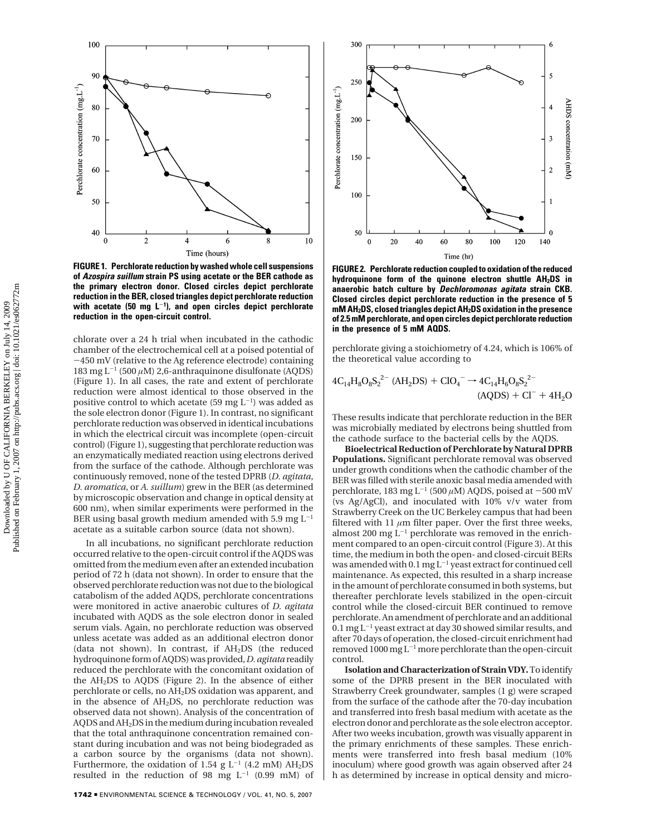

**FIGURE 1. Perchlorate reduction by washed whole cell suspensions of Azospira suillum strain PS using acetate or the BER cathode as the primary electron donor. Closed circles depict perchlorate reduction in the BER, closed triangles depict perchlorate reduction with acetate (50 mg L**-**<sup>1</sup> ), and open circles depict perchlorate reduction in the open-circuit control.**

chlorate over a 24 h trial when incubated in the cathodic chamber of the electrochemical cell at a poised potential of -450 mV (relative to the Ag reference electrode) containing 183 mg  $L^{-1}$  (500  $\mu$ M) 2,6-anthraquinone disulfonate (AQDS) (Figure 1). In all cases, the rate and extent of perchlorate reduction were almost identical to those observed in the positive control to which acetate (59 mg  $L^{-1}$ ) was added as the sole electron donor (Figure 1). In contrast, no significant perchlorate reduction was observed in identical incubations in which the electrical circuit was incomplete (open-circuit control) (Figure 1), suggesting that perchlorate reduction was an enzymatically mediated reaction using electrons derived from the surface of the cathode. Although perchlorate was continuously removed, none of the tested DPRB (*D. agitata*, *D. aromatica*, or *A. suillum*) grew in the BER (as determined by microscopic observation and change in optical density at 600 nm), when similar experiments were performed in the BER using basal growth medium amended with 5.9 mg  $L^{-1}$ acetate as a suitable carbon source (data not shown).

In all incubations, no significant perchlorate reduction occurred relative to the open-circuit control if the AQDS was omitted from the medium even after an extended incubation period of 72 h (data not shown). In order to ensure that the observed perchlorate reduction was not due to the biological catabolism of the added AQDS, perchlorate concentrations were monitored in active anaerobic cultures of *D. agitata* incubated with AQDS as the sole electron donor in sealed serum vials. Again, no perchlorate reduction was observed unless acetate was added as an additional electron donor (data not shown). In contrast, if AH2DS (the reduced hydroquinone form of AQDS) was provided,*D. agitata* readily reduced the perchlorate with the concomitant oxidation of the AH2DS to AQDS (Figure 2). In the absence of either perchlorate or cells, no AH2DS oxidation was apparent, and in the absence of AH2DS, no perchlorate reduction was observed data not shown). Analysis of the concentration of AQDS and AH2DS in the medium during incubation revealed that the total anthraquinone concentration remained constant during incubation and was not being biodegraded as a carbon source by the organisms (data not shown). Furthermore, the oxidation of 1.54 g  $L^{-1}$  (4.2 mM) AH<sub>2</sub>DS resulted in the reduction of 98 mg  $L^{-1}$  (0.99 mM) of



**FIGURE 2. Perchlorate reduction coupled to oxidation of the reduced hydroquinone form of the quinone electron shuttle AH2DS in anaerobic batch culture by Dechloromonas agitata strain CKB. Closed circles depict perchlorate reduction in the presence of 5 mM AH2DS, closed triangles depict AH2DS oxidation in the presence of 2.5 mM perchlorate, and open circles depict perchlorate reduction in the presence of 5 mM AQDS.**

perchlorate giving a stoichiometry of 4.24, which is 106% of the theoretical value according to

$$
4C_{14}H_8O_8S_2^{2-} (AH_2DS) + ClO_4^- \rightarrow 4C_{14}H_6O_8S_2^{2-}
$$
  
(AQDS) + Cl<sup>-</sup> + 4H<sub>2</sub>O

These results indicate that perchlorate reduction in the BER was microbially mediated by electrons being shuttled from the cathode surface to the bacterial cells by the AQDS.

**Bioelectrical Reduction of Perchlorate by Natural DPRB Populations.** Significant perchlorate removal was observed under growth conditions when the cathodic chamber of the BER was filled with sterile anoxic basal media amended with perchlorate, 183 mg L<sup>-1</sup> (500  $\mu$ M) AQDS, poised at -500 mV (vs Ag/AgCl), and inoculated with 10% v/v water from Strawberry Creek on the UC Berkeley campus that had been filtered with 11  $\mu$ m filter paper. Over the first three weeks, almost 200 mg  $L^{-1}$  perchlorate was removed in the enrichment compared to an open-circuit control (Figure 3). At this time, the medium in both the open- and closed-circuit BERs was amended with 0.1 mg  $L^{-1}$  yeast extract for continued cell maintenance. As expected, this resulted in a sharp increase in the amount of perchlorate consumed in both systems, but thereafter perchlorate levels stabilized in the open-circuit control while the closed-circuit BER continued to remove perchlorate. An amendment of perchlorate and an additional  $0.1 \,\mathrm{mg}\, \mathrm{L}^{-1}$  yeast extract at day 30 showed similar results, and after 70 days of operation, the closed-circuit enrichment had removed 1000 mg L-<sup>1</sup> more perchlorate than the open-circuit control.

**Isolation and Characterization of Strain VDY.**To identify some of the DPRB present in the BER inoculated with Strawberry Creek groundwater, samples (1 g) were scraped from the surface of the cathode after the 70-day incubation and transferred into fresh basal medium with acetate as the electron donor and perchlorate as the sole electron acceptor. After two weeks incubation, growth was visually apparent in the primary enrichments of these samples. These enrichments were transferred into fresh basal medium (10% inoculum) where good growth was again observed after 24 h as determined by increase in optical density and micro-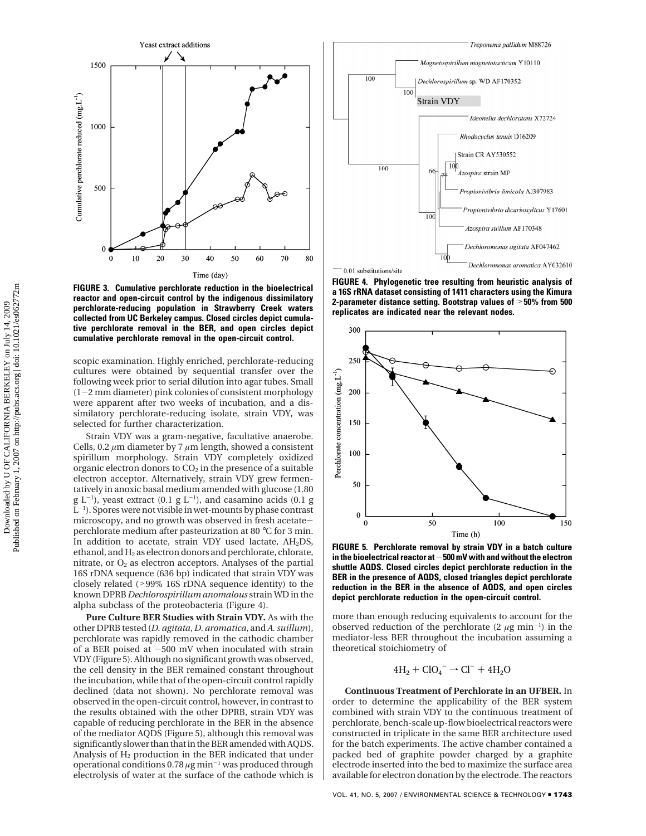

**FIGURE 3. Cumulative perchlorate reduction in the bioelectrical reactor and open-circuit control by the indigenous dissimilatory perchlorate-reducing population in Strawberry Creek waters collected from UC Berkeley campus. Closed circles depict cumulative perchlorate removal in the BER, and open circles depict cumulative perchlorate removal in the open-circuit control.**

scopic examination. Highly enriched, perchlorate-reducing cultures were obtained by sequential transfer over the following week prior to serial dilution into agar tubes. Small (1-2 mm diameter) pink colonies of consistent morphology were apparent after two weeks of incubation, and a dissimilatory perchlorate-reducing isolate, strain VDY, was selected for further characterization.

Strain VDY was a gram-negative, facultative anaerobe. Cells, 0.2 *µ*m diameter by 7 *µ*m length, showed a consistent spirillum morphology. Strain VDY completely oxidized organic electron donors to  $CO<sub>2</sub>$  in the presence of a suitable electron acceptor. Alternatively, strain VDY grew fermentatively in anoxic basal medium amended with glucose (1.80  $g L^{-1}$ ), yeast extract (0.1  $g L^{-1}$ ), and casamino acids (0.1  $g$  $L^{-1}$ ). Spores were not visible in wet-mounts by phase contrast microscopy, and no growth was observed in fresh acetateperchlorate medium after pasteurization at 80 °C for 3 min. In addition to acetate, strain VDY used lactate, AH2DS, ethanol, and  $H_2$  as electron donors and perchlorate, chlorate, nitrate, or  $O<sub>2</sub>$  as electron acceptors. Analyses of the partial 16S rDNA sequence (636 bp) indicated that strain VDY was closely related (>99% 16S rDNA sequence identity) to the known DPRB *Dechlorospirillum anomalous* strain WD in the alpha subclass of the proteobacteria (Figure 4).

**Pure Culture BER Studies with Strain VDY.** As with the other DPRB tested (*D. agitata*, *D. aromatica*, and *A. suillum*), perchlorate was rapidly removed in the cathodic chamber of a BER poised at  $-500$  mV when inoculated with strain VDY (Figure 5). Although no significant growth was observed, the cell density in the BER remained constant throughout the incubation, while that of the open-circuit control rapidly declined (data not shown). No perchlorate removal was observed in the open-circuit control, however, in contrast to the results obtained with the other DPRB, strain VDY was capable of reducing perchlorate in the BER in the absence of the mediator AQDS (Figure 5), although this removal was significantly slower than that in the BER amended with AQDS. Analysis of  $H_2$  production in the BER indicated that under operational conditions 0.78 *µ*g min-<sup>1</sup> was produced through electrolysis of water at the surface of the cathode which is



**FIGURE 4. Phylogenetic tree resulting from heuristic analysis of a 16S rRNA dataset consisting of 1411 characters using the Kimura 2-parameter distance setting. Bootstrap values of** >**50% from 500 replicates are indicated near the relevant nodes.**



**FIGURE 5. Perchlorate removal by strain VDY in a batch culture in the bioelectrical reactor at**-**500 mV with and without the electron shuttle AQDS. Closed circles depict perchlorate reduction in the BER in the presence of AQDS, closed triangles depict perchlorate reduction in the BER in the absence of AQDS, and open circles depict perchlorate reduction in the open-circuit control.**

more than enough reducing equivalents to account for the observed reduction of the perchlorate  $(2 \mu g \text{ min}^{-1})$  in the mediator-less BER throughout the incubation assuming a theoretical stoichiometry of

$$
4H_2 + ClO_4^- \rightarrow Cl^- + 4H_2O
$$

**Continuous Treatment of Perchlorate in an UFBER.** In order to determine the applicability of the BER system combined with strain VDY to the continuous treatment of perchlorate, bench-scale up-flow bioelectrical reactors were constructed in triplicate in the same BER architecture used for the batch experiments. The active chamber contained a packed bed of graphite powder charged by a graphite electrode inserted into the bed to maximize the surface area available for electron donation by the electrode. The reactors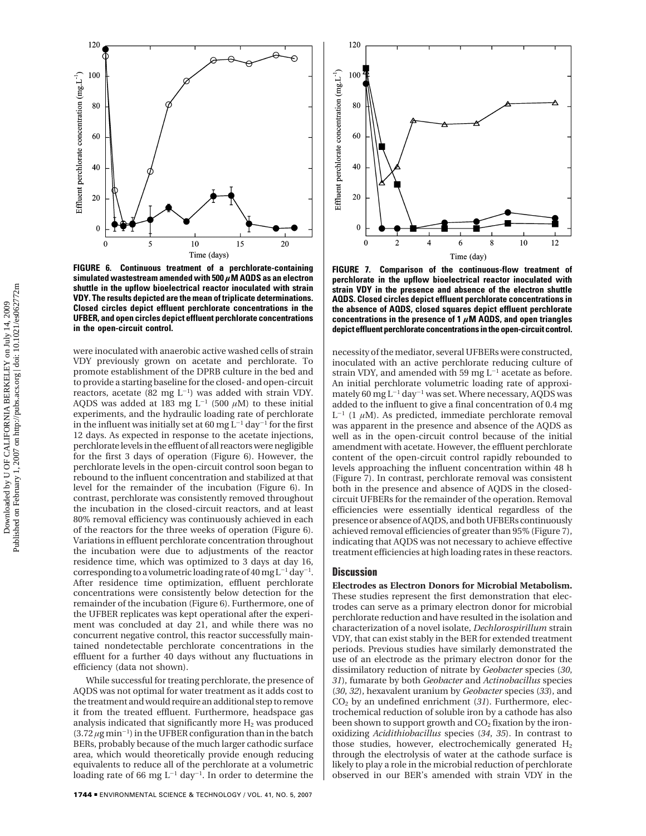

**FIGURE 6. Continuous treatment of a perchlorate-containing simulated wastestream amended with 500** *µ***M AQDS as an electron shuttle in the upflow bioelectrical reactor inoculated with strain VDY. The results depicted are the mean of triplicate determinations. Closed circles depict effluent perchlorate concentrations in the UFBER, and open circles depict effluent perchlorate concentrations in the open-circuit control.**

were inoculated with anaerobic active washed cells of strain VDY previously grown on acetate and perchlorate. To promote establishment of the DPRB culture in the bed and to provide a starting baseline for the closed- and open-circuit reactors, acetate (82 mg  $L^{-1}$ ) was added with strain VDY. AQDS was added at 183 mg  $L^{-1}$  (500  $\mu$ M) to these initial experiments, and the hydraulic loading rate of perchlorate in the influent was initially set at 60 mg  $L^{-1}$  day<sup>-1</sup> for the first 12 days. As expected in response to the acetate injections, perchlorate levels in the effluent of all reactors were negligible for the first 3 days of operation (Figure 6). However, the perchlorate levels in the open-circuit control soon began to rebound to the influent concentration and stabilized at that level for the remainder of the incubation (Figure 6). In contrast, perchlorate was consistently removed throughout the incubation in the closed-circuit reactors, and at least 80% removal efficiency was continuously achieved in each of the reactors for the three weeks of operation (Figure 6). Variations in effluent perchlorate concentration throughout the incubation were due to adjustments of the reactor residence time, which was optimized to 3 days at day 16, corresponding to a volumetric loading rate of 40 mg  $L^{-1}$  day<sup>-1</sup>. After residence time optimization, effluent perchlorate concentrations were consistently below detection for the remainder of the incubation (Figure 6). Furthermore, one of the UFBER replicates was kept operational after the experiment was concluded at day 21, and while there was no concurrent negative control, this reactor successfully maintained nondetectable perchlorate concentrations in the effluent for a further 40 days without any fluctuations in efficiency (data not shown).

While successful for treating perchlorate, the presence of AQDS was not optimal for water treatment as it adds cost to the treatment and would require an additional step to remove it from the treated effluent. Furthermore, headspace gas analysis indicated that significantly more  $H_2$  was produced  $(3.72 \,\mu g \,\text{min}^{-1})$  in the UFBER configuration than in the batch BERs, probably because of the much larger cathodic surface area, which would theoretically provide enough reducing equivalents to reduce all of the perchlorate at a volumetric loading rate of 66 mg  $L^{-1}$  day<sup>-1</sup>. In order to determine the



**FIGURE 7. Comparison of the continuous-flow treatment of perchlorate in the upflow bioelectrical reactor inoculated with strain VDY in the presence and absence of the electron shuttle AQDS. Closed circles depict effluent perchlorate concentrations in the absence of AQDS, closed squares depict effluent perchlorate concentrations in the presence of 1** *µ***M AQDS, and open triangles depict effluent perchlorate concentrations in the open-circuit control.**

necessity of the mediator, several UFBERs were constructed, inoculated with an active perchlorate reducing culture of strain VDY, and amended with 59 mg  $L^{-1}$  acetate as before. An initial perchlorate volumetric loading rate of approximately 60 mg  $L^{-1}$  day<sup>-1</sup> was set. Where necessary, AQDS was added to the influent to give a final concentration of 0.4 mg  $L^{-1}$  (1  $\mu$ M). As predicted, immediate perchlorate removal was apparent in the presence and absence of the AQDS as well as in the open-circuit control because of the initial amendment with acetate. However, the effluent perchlorate content of the open-circuit control rapidly rebounded to levels approaching the influent concentration within 48 h (Figure 7). In contrast, perchlorate removal was consistent both in the presence and absence of AQDS in the closedcircuit UFBERs for the remainder of the operation. Removal efficiencies were essentially identical regardless of the presence or absence of AQDS, and both UFBERs continuously achieved removal efficiencies of greater than 95% (Figure 7), indicating that AQDS was not necessary to achieve effective treatment efficiencies at high loading rates in these reactors.

## **Discussion**

**Electrodes as Electron Donors for Microbial Metabolism.** These studies represent the first demonstration that electrodes can serve as a primary electron donor for microbial perchlorate reduction and have resulted in the isolation and characterization of a novel isolate, *Dechlorospirillum* strain VDY, that can exist stably in the BER for extended treatment periods. Previous studies have similarly demonstrated the use of an electrode as the primary electron donor for the dissimilatory reduction of nitrate by *Geobacter* species (*30*, *31*), fumarate by both *Geobacter* and *Actinobacillus* species (*30*, *32*), hexavalent uranium by *Geobacter* species (*33*), and CO2 by an undefined enrichment (*31*). Furthermore, electrochemical reduction of soluble iron by a cathode has also been shown to support growth and  $CO<sub>2</sub>$  fixation by the ironoxidizing *Acidithiobacillus* species (*34*, *35*). In contrast to those studies, however, electrochemically generated  $H_2$ through the electrolysis of water at the cathode surface is likely to play a role in the microbial reduction of perchlorate observed in our BER's amended with strain VDY in the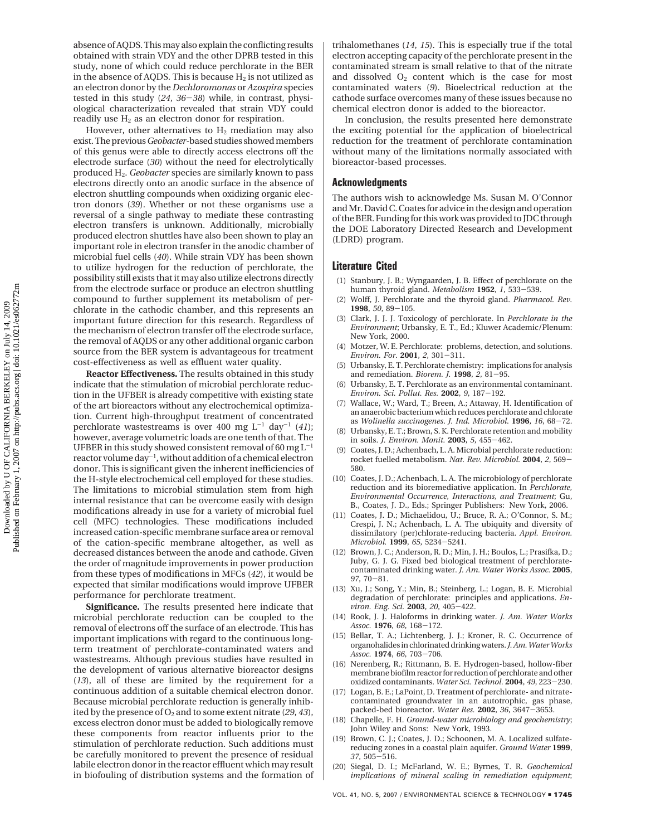absence of AQDS. This may also explain the conflicting results obtained with strain VDY and the other DPRB tested in this study, none of which could reduce perchlorate in the BER in the absence of AQDS. This is because  $H_2$  is not utilized as an electron donor by the *Dechloromonas* or *Azospira* species tested in this study (*24*, *<sup>36</sup>*-*38*) while, in contrast, physiological characterization revealed that strain VDY could readily use  $H_2$  as an electron donor for respiration.

However, other alternatives to  $H_2$  mediation may also exist. The previous*Geobacter-*based studies showed members of this genus were able to directly access electrons off the electrode surface (*30*) without the need for electrolytically produced H2. *Geobacter* species are similarly known to pass electrons directly onto an anodic surface in the absence of electron shuttling compounds when oxidizing organic electron donors (*39*). Whether or not these organisms use a reversal of a single pathway to mediate these contrasting electron transfers is unknown. Additionally, microbially produced electron shuttles have also been shown to play an important role in electron transfer in the anodic chamber of microbial fuel cells (*40*). While strain VDY has been shown to utilize hydrogen for the reduction of perchlorate, the possibility still exists that it may also utilize electrons directly from the electrode surface or produce an electron shuttling compound to further supplement its metabolism of perchlorate in the cathodic chamber, and this represents an important future direction for this research. Regardless of the mechanism of electron transfer off the electrode surface, the removal of AQDS or any other additional organic carbon source from the BER system is advantageous for treatment cost-effectiveness as well as effluent water quality.

**Reactor Effectiveness.** The results obtained in this study indicate that the stimulation of microbial perchlorate reduction in the UFBER is already competitive with existing state of the art bioreactors without any electrochemical optimization. Current high-throughput treatment of concentrated perchlorate wastestreams is over 400 mg  $L^{-1}$  day<sup>-1</sup> (41); however, average volumetric loads are one tenth of that. The UFBER in this study showed consistent removal of 60 mg  $L^{-1}$ reactor volume day-1, without addition of a chemical electron donor. This is significant given the inherent inefficiencies of the H-style electrochemical cell employed for these studies. The limitations to microbial stimulation stem from high internal resistance that can be overcome easily with design modifications already in use for a variety of microbial fuel cell (MFC) technologies. These modifications included increased cation-specific membrane surface area or removal of the cation-specific membrane altogether, as well as decreased distances between the anode and cathode. Given the order of magnitude improvements in power production from these types of modifications in MFCs (*42*), it would be expected that similar modifications would improve UFBER performance for perchlorate treatment.

**Significance.** The results presented here indicate that microbial perchlorate reduction can be coupled to the removal of electrons off the surface of an electrode. This has important implications with regard to the continuous longterm treatment of perchlorate-contaminated waters and wastestreams. Although previous studies have resulted in the development of various alternative bioreactor designs (*13*), all of these are limited by the requirement for a continuous addition of a suitable chemical electron donor. Because microbial perchlorate reduction is generally inhibited by the presence of  $O_2$  and to some extent nitrate (29, 43), excess electron donor must be added to biologically remove these components from reactor influents prior to the stimulation of perchlorate reduction. Such additions must be carefully monitored to prevent the presence of residual labile electron donor in the reactor effluent which may result in biofouling of distribution systems and the formation of trihalomethanes (*14*, *15*). This is especially true if the total electron accepting capacity of the perchlorate present in the contaminated stream is small relative to that of the nitrate and dissolved  $O<sub>2</sub>$  content which is the case for most contaminated waters (*9*). Bioelectrical reduction at the cathode surface overcomes many of these issues because no chemical electron donor is added to the bioreactor.

In conclusion, the results presented here demonstrate the exciting potential for the application of bioelectrical reduction for the treatment of perchlorate contamination without many of the limitations normally associated with bioreactor-based processes.

#### **Acknowledgments**

The authors wish to acknowledge Ms. Susan M. O'Connor and Mr. David C. Coates for advice in the design and operation of the BER. Funding for this work was provided to JDC through the DOE Laboratory Directed Research and Development (LDRD) program.

## **Literature Cited**

- (1) Stanbury, J. B.; Wyngaarden, J. B. Effect of perchlorate on the human thyroid gland. *Metabolism* **<sup>1952</sup>**, *<sup>1</sup>*, 533-539.
- (2) Wolff, J. Perchlorate and the thyroid gland. *Pharmacol. Rev.* **<sup>1998</sup>**, *<sup>50</sup>*, 89-105.
- (3) Clark, J. J. J. Toxicology of perchlorate. In *Perchlorate in the Environment*; Urbansky, E. T., Ed.; Kluwer Academic/Plenum: New York, 2000.
- (4) Motzer, W. E. Perchlorate: problems, detection, and solutions. *Environ. For.* **<sup>2001</sup>**, *<sup>2</sup>*, 301-311.
- (5) Urbansky, E. T. Perchlorate chemistry: implications for analysis and remediation. *Biorem. J.* **<sup>1998</sup>**, *<sup>2</sup>*, 81-95.
- (6) Urbansky, E. T. Perchlorate as an environmental contaminant. *Environ. Sci. Pollut. Res.* **<sup>2002</sup>**, *<sup>9</sup>*, 187-192.
- (7) Wallace, W.; Ward, T.; Breen, A.; Attaway, H. Identification of an anaerobic bacterium which reduces perchlorate and chlorate as *Wolinella succinogenes*. *J. Ind. Microbiol*. **<sup>1996</sup>**, *<sup>16</sup>*, 68-72.
- Urbansky, E. T.; Brown, S. K. Perchlorate retention and mobility in soils. *J. Environ. Monit.* **<sup>2003</sup>**, *<sup>5</sup>*, 455-462.
- (9) Coates, J. D.; Achenbach, L. A. Microbial perchlorate reduction: rocket fuelled metabolism. *Nat. Rev. Microbiol.* **<sup>2004</sup>**, *<sup>2</sup>*, 569- 580.
- (10) Coates, J. D.; Achenbach, L. A. The microbiology of perchlorate reduction and its bioremediative application. In *Perchlorate, Environmental Occurrence, Interactions, and Treatment*; Gu, B., Coates, J. D., Eds.; Springer Publishers: New York, 2006.
- (11) Coates, J. D.; Michaelidou, U.; Bruce, R. A.; O'Connor, S. M.; Crespi, J. N.; Achenbach, L. A. The ubiquity and diversity of dissimilatory (per)chlorate-reducing bacteria. *Appl. Environ. Microbiol.* **<sup>1999</sup>**, *<sup>65</sup>*, 5234-5241.
- (12) Brown, J. C.; Anderson, R. D.; Min, J. H.; Boulos, L.; Prasifka, D.; Juby, G. J. G. Fixed bed biological treatment of perchloratecontaminated drinking water. *J. Am. Water Works Assoc.* **2005**, *<sup>97</sup>*, 70-81.
- (13) Xu, J.; Song, Y.; Min, B.; Steinberg, L.; Logan, B. E. Microbial degradation of perchlorate: principles and applications. *Environ. Eng. Sci.* **<sup>2003</sup>**, *<sup>20</sup>*, 405-422.
- (14) Rook, J. J. Haloforms in drinking water. *J. Am. Water Works Assoc.* **<sup>1976</sup>**, *<sup>68</sup>*, 168-172.
- (15) Bellar, T. A.; Lichtenberg, J. J.; Kroner, R. C. Occurrence of organohalides in chlorinated drinking waters.*J. Am. Water Works Assoc.* **<sup>1974</sup>**, *<sup>66</sup>*, 703-706.
- (16) Nerenberg, R.; Rittmann, B. E. Hydrogen-based, hollow-fiber membrane biofilm reactor for reduction of perchlorate and other oxidized contaminants. *Water Sci. Technol.* **<sup>2004</sup>**, *<sup>49</sup>*, 223-230.
- (17) Logan, B. E.; LaPoint, D. Treatment of perchlorate- and nitratecontaminated groundwater in an autotrophic, gas phase, packed-bed bioreactor. *Water Res.* **<sup>2002</sup>**, *<sup>36</sup>*, 3647-3653.
- (18) Chapelle, F. H. *Ground-water microbiology and geochemistry*; John Wiley and Sons: New York, 1993.
- (19) Brown, C. J.; Coates, J. D.; Schoonen, M. A. Localized sulfatereducing zones in a coastal plain aquifer. *Ground Water* **1999**, *<sup>37</sup>*, 505-516.
- (20) Siegal, D. I.; McFarland, W. E.; Byrnes, T. R. *Geochemical implications of mineral scaling in remediation equipment*;